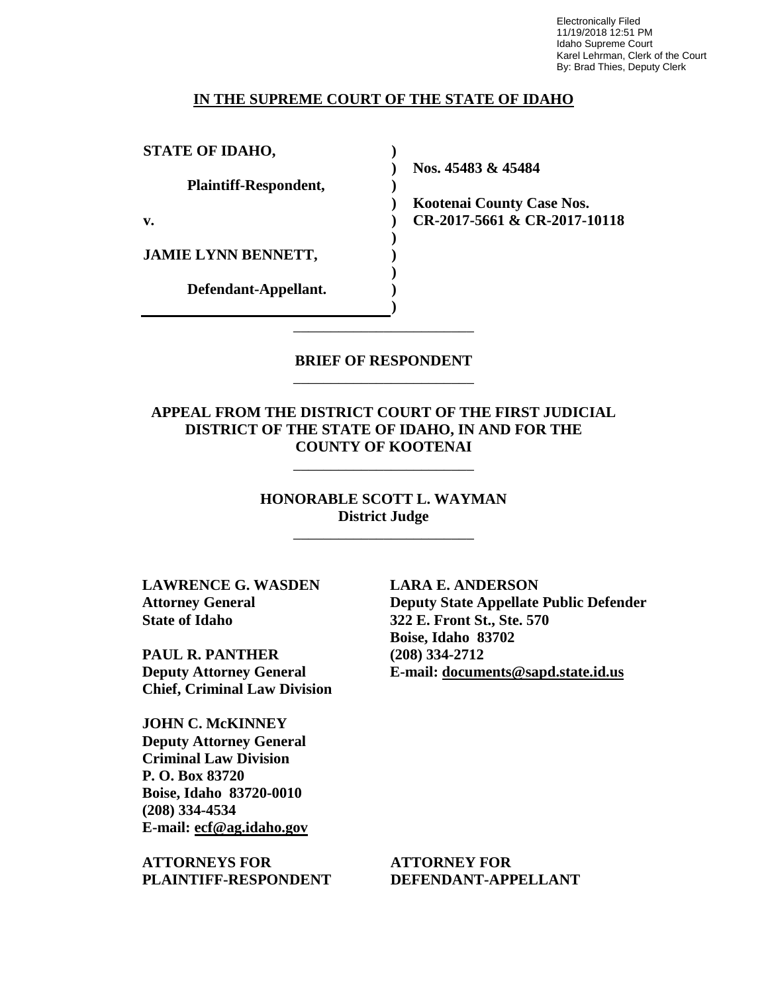Electronically Filed 11/19/2018 12:51 PM Idaho Supreme Court Karel Lehrman, Clerk of the Court By: Brad Thies, Deputy Clerk

#### **IN THE SUPREME COURT OF THE STATE OF IDAHO**

**) ) ) ) ) ) ) ) ) )**

**STATE OF IDAHO,**

**Plaintiff-Respondent,**

**v.** 

**JAMIE LYNN BENNETT,** 

**Defendant-Appellant.**

**Nos. 45483 & 45484** 

**Kootenai County Case Nos. CR-2017-5661 & CR-2017-10118** 

### **BRIEF OF RESPONDENT** \_\_\_\_\_\_\_\_\_\_\_\_\_\_\_\_\_\_\_\_\_\_\_\_

\_\_\_\_\_\_\_\_\_\_\_\_\_\_\_\_\_\_\_\_\_\_\_\_

**APPEAL FROM THE DISTRICT COURT OF THE FIRST JUDICIAL DISTRICT OF THE STATE OF IDAHO, IN AND FOR THE COUNTY OF KOOTENAI**

\_\_\_\_\_\_\_\_\_\_\_\_\_\_\_\_\_\_\_\_\_\_\_\_

**HONORABLE SCOTT L. WAYMAN District Judge**

\_\_\_\_\_\_\_\_\_\_\_\_\_\_\_\_\_\_\_\_\_\_\_\_

**LAWRENCE G. WASDEN Attorney General State of Idaho**

**PAUL R. PANTHER Deputy Attorney General Chief, Criminal Law Division** 

**JOHN C. McKINNEY Deputy Attorney General Criminal Law Division P. O. Box 83720 Boise, Idaho 83720-0010 (208) 334-4534 E-mail: ecf@ag.idaho.gov** 

**ATTORNEYS FOR PLAINTIFF-RESPONDENT** **LARA E. ANDERSON Deputy State Appellate Public Defender 322 E. Front St., Ste. 570 Boise, Idaho 83702 (208) 334-2712 E-mail: documents@sapd.state.id.us** 

**ATTORNEY FOR DEFENDANT-APPELLANT**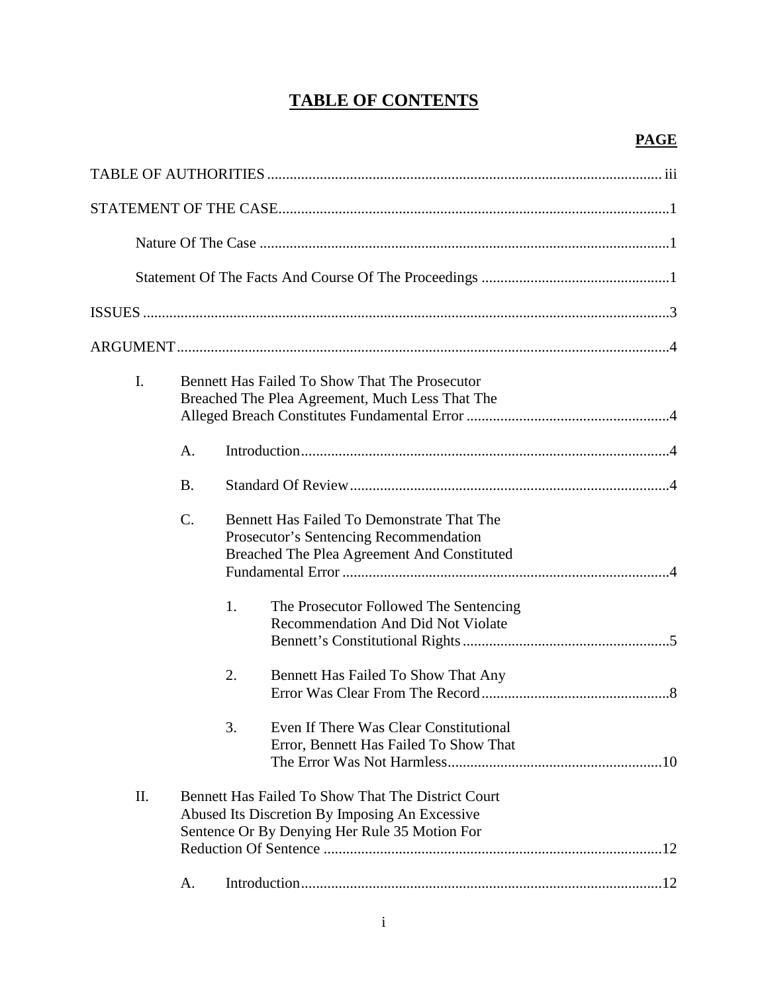# **TABLE OF CONTENTS**

| I.  |                 | Bennett Has Failed To Show That The Prosecutor<br>Breached The Plea Agreement, Much Less That The                                                     |  |
|-----|-----------------|-------------------------------------------------------------------------------------------------------------------------------------------------------|--|
|     | A.              |                                                                                                                                                       |  |
|     | <b>B.</b>       |                                                                                                                                                       |  |
|     | $\mathcal{C}$ . | Bennett Has Failed To Demonstrate That The<br>Prosecutor's Sentencing Recommendation<br>Breached The Plea Agreement And Constituted                   |  |
|     |                 | 1.<br>The Prosecutor Followed The Sentencing<br><b>Recommendation And Did Not Violate</b>                                                             |  |
|     |                 | 2.<br>Bennett Has Failed To Show That Any                                                                                                             |  |
|     |                 | 3.<br>Even If There Was Clear Constitutional<br>Error, Bennett Has Failed To Show That                                                                |  |
| II. |                 | Bennett Has Failed To Show That The District Court<br>Abused Its Discretion By Imposing An Excessive<br>Sentence Or By Denying Her Rule 35 Motion For |  |
|     | А.              |                                                                                                                                                       |  |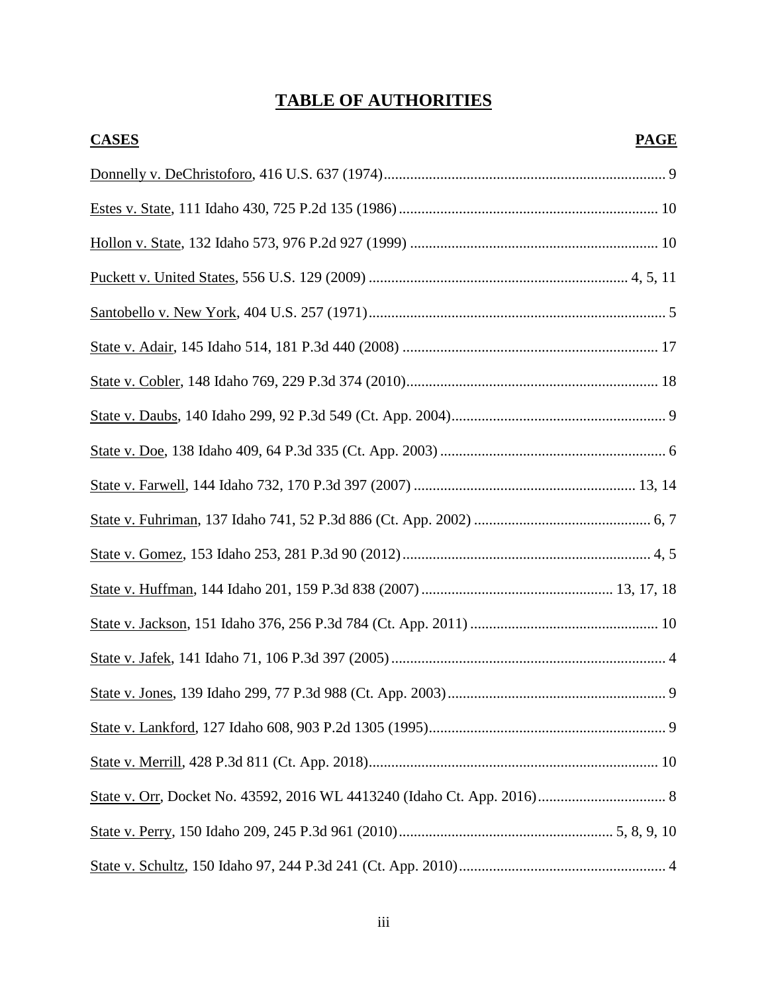# **TABLE OF AUTHORITIES**

| <b>CASES</b> | <b>PAGE</b> |
|--------------|-------------|
|              |             |
|              |             |
|              |             |
|              |             |
|              |             |
|              |             |
|              |             |
|              |             |
|              |             |
|              |             |
|              |             |
|              |             |
|              |             |
|              |             |
|              |             |
|              |             |
|              |             |
|              |             |
|              |             |
|              |             |
|              |             |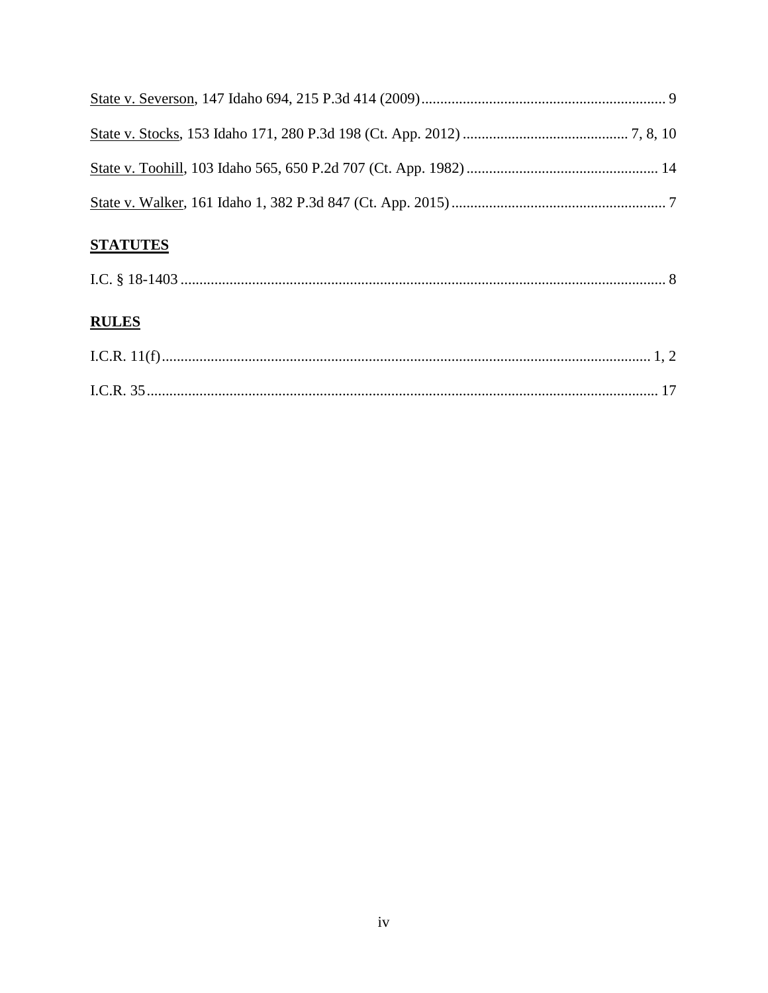## **STATUTES**

|--|

## **RULES**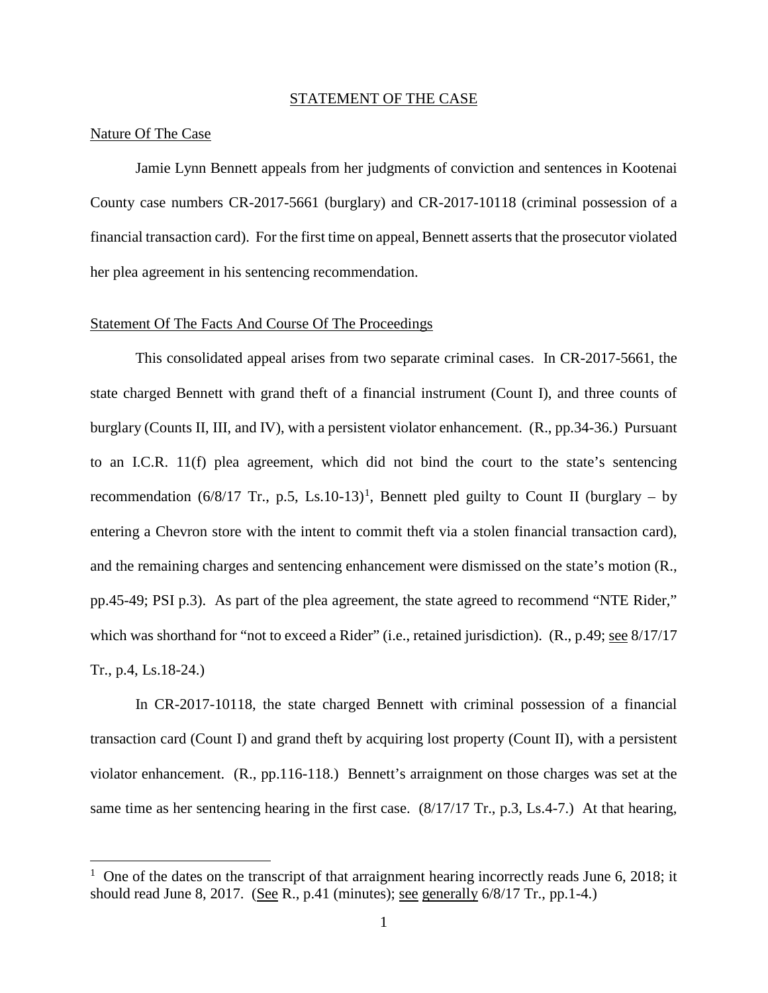#### STATEMENT OF THE CASE

#### Nature Of The Case

 $\overline{a}$ 

Jamie Lynn Bennett appeals from her judgments of conviction and sentences in Kootenai County case numbers CR-2017-5661 (burglary) and CR-2017-10118 (criminal possession of a financial transaction card). For the first time on appeal, Bennett asserts that the prosecutor violated her plea agreement in his sentencing recommendation.

#### Statement Of The Facts And Course Of The Proceedings

This consolidated appeal arises from two separate criminal cases. In CR-2017-5661, the state charged Bennett with grand theft of a financial instrument (Count I), and three counts of burglary (Counts II, III, and IV), with a persistent violator enhancement. (R., pp.34-36.) Pursuant to an I.C.R. 11(f) plea agreement, which did not bind the court to the state's sentencing recommendation  $(6/8/17$  $(6/8/17$  $(6/8/17$  Tr., p.5, Ls.10-13)<sup>1</sup>, Bennett pled guilty to Count II (burglary – by entering a Chevron store with the intent to commit theft via a stolen financial transaction card), and the remaining charges and sentencing enhancement were dismissed on the state's motion (R., pp.45-49; PSI p.3). As part of the plea agreement, the state agreed to recommend "NTE Rider," which was shorthand for "not to exceed a Rider" (i.e., retained jurisdiction). (R., p.49; see 8/17/17 Tr., p.4, Ls.18-24.)

In CR-2017-10118, the state charged Bennett with criminal possession of a financial transaction card (Count I) and grand theft by acquiring lost property (Count II), with a persistent violator enhancement. (R., pp.116-118.) Bennett's arraignment on those charges was set at the same time as her sentencing hearing in the first case. (8/17/17 Tr., p.3, Ls.4-7.) At that hearing,

<sup>&</sup>lt;sup>1</sup> One of the dates on the transcript of that arraignment hearing incorrectly reads June 6, 2018; it should read June 8, 2017. (See R., p.41 (minutes); see generally  $6/8/17$  Tr., pp.1-4.)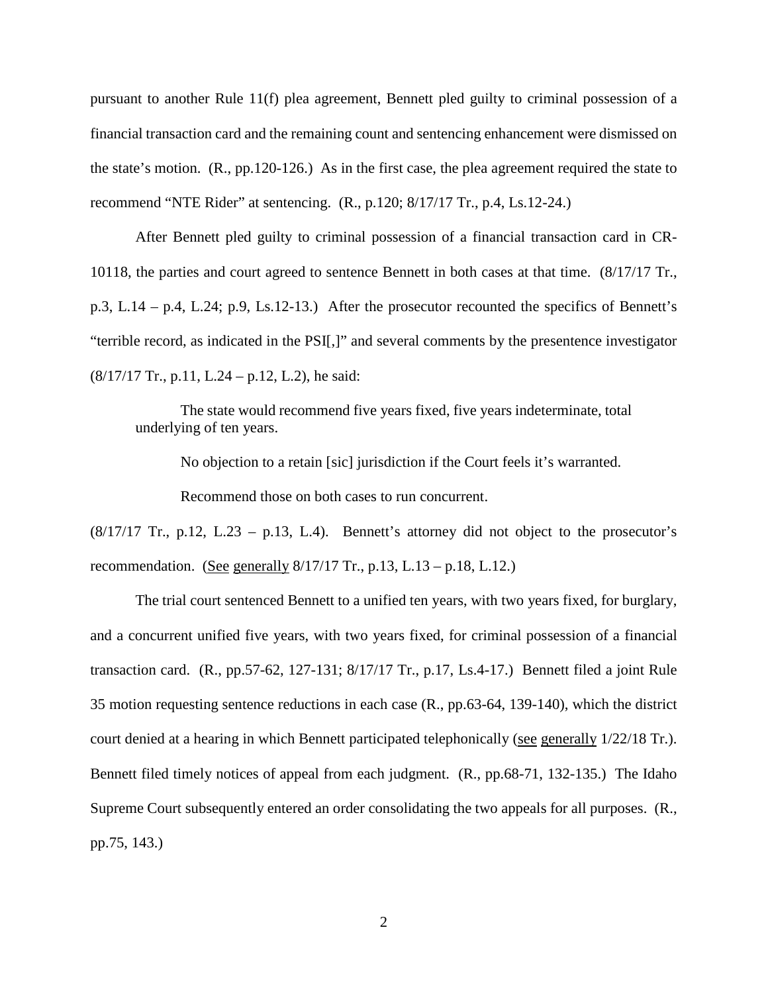pursuant to another Rule 11(f) plea agreement, Bennett pled guilty to criminal possession of a financial transaction card and the remaining count and sentencing enhancement were dismissed on the state's motion. (R., pp.120-126.) As in the first case, the plea agreement required the state to recommend "NTE Rider" at sentencing. (R., p.120; 8/17/17 Tr., p.4, Ls.12-24.)

After Bennett pled guilty to criminal possession of a financial transaction card in CR-10118, the parties and court agreed to sentence Bennett in both cases at that time. (8/17/17 Tr., p.3, L.14 – p.4, L.24; p.9, Ls.12-13.) After the prosecutor recounted the specifics of Bennett's "terrible record, as indicated in the PSI[,]" and several comments by the presentence investigator (8/17/17 Tr., p.11, L.24 – p.12, L.2), he said:

The state would recommend five years fixed, five years indeterminate, total underlying of ten years.

No objection to a retain [sic] jurisdiction if the Court feels it's warranted.

Recommend those on both cases to run concurrent.

 $(8/17/17$  Tr., p.12, L.23 – p.13, L.4). Bennett's attorney did not object to the prosecutor's recommendation. (See generally  $8/17/17$  Tr., p.13, L.13 – p.18, L.12.)

The trial court sentenced Bennett to a unified ten years, with two years fixed, for burglary, and a concurrent unified five years, with two years fixed, for criminal possession of a financial transaction card. (R., pp.57-62, 127-131; 8/17/17 Tr., p.17, Ls.4-17.) Bennett filed a joint Rule 35 motion requesting sentence reductions in each case (R., pp.63-64, 139-140), which the district court denied at a hearing in which Bennett participated telephonically (see generally 1/22/18 Tr.). Bennett filed timely notices of appeal from each judgment. (R., pp.68-71, 132-135.) The Idaho Supreme Court subsequently entered an order consolidating the two appeals for all purposes. (R., pp.75, 143.)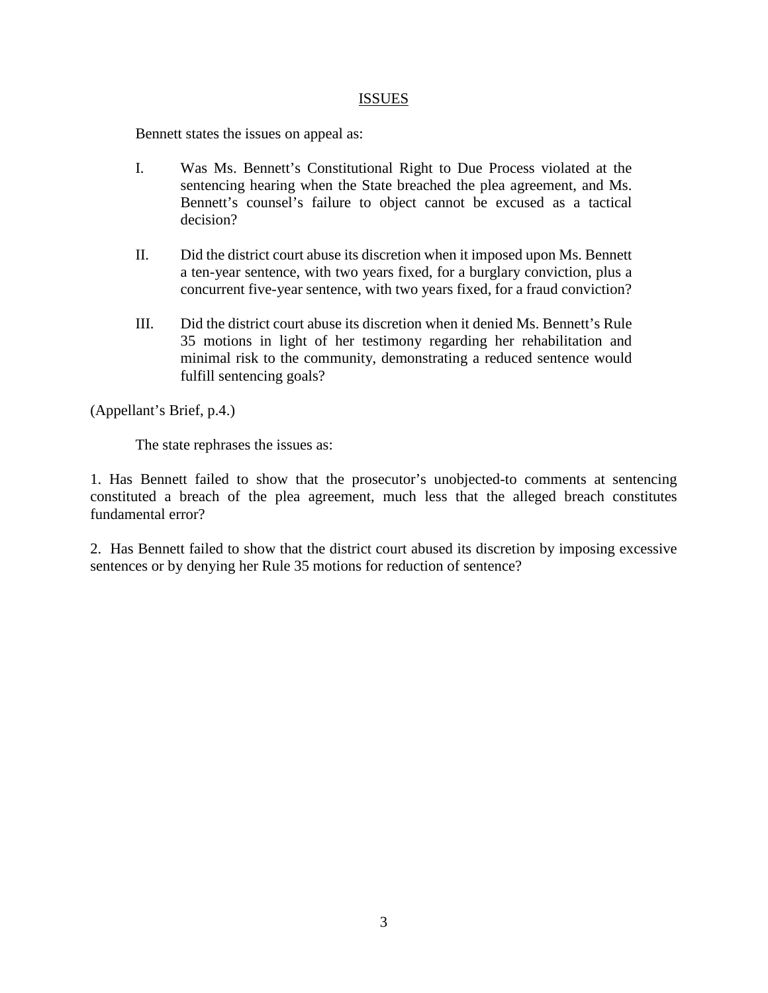### **ISSUES**

Bennett states the issues on appeal as:

- I. Was Ms. Bennett's Constitutional Right to Due Process violated at the sentencing hearing when the State breached the plea agreement, and Ms. Bennett's counsel's failure to object cannot be excused as a tactical decision?
- II. Did the district court abuse its discretion when it imposed upon Ms. Bennett a ten-year sentence, with two years fixed, for a burglary conviction, plus a concurrent five-year sentence, with two years fixed, for a fraud conviction?
- III. Did the district court abuse its discretion when it denied Ms. Bennett's Rule 35 motions in light of her testimony regarding her rehabilitation and minimal risk to the community, demonstrating a reduced sentence would fulfill sentencing goals?

(Appellant's Brief, p.4.)

The state rephrases the issues as:

1. Has Bennett failed to show that the prosecutor's unobjected-to comments at sentencing constituted a breach of the plea agreement, much less that the alleged breach constitutes fundamental error?

2. Has Bennett failed to show that the district court abused its discretion by imposing excessive sentences or by denying her Rule 35 motions for reduction of sentence?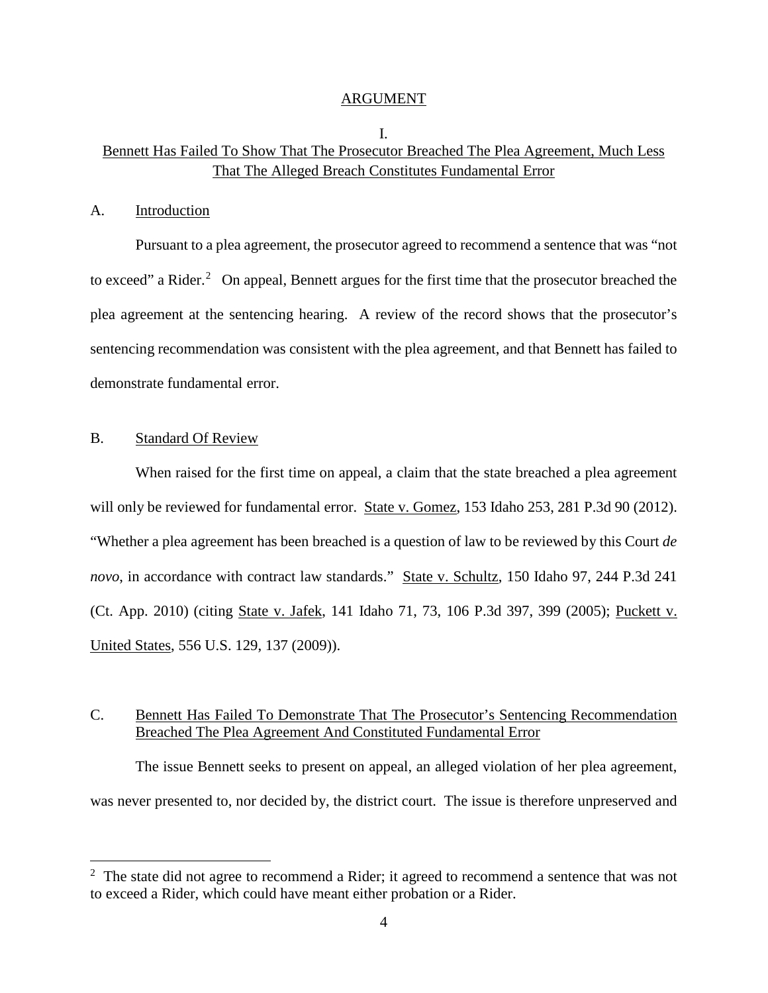#### ARGUMENT

## I. Bennett Has Failed To Show That The Prosecutor Breached The Plea Agreement, Much Less That The Alleged Breach Constitutes Fundamental Error

#### A. Introduction

Pursuant to a plea agreement, the prosecutor agreed to recommend a sentence that was "not to exceed" a Rider. $2$  On appeal, Bennett argues for the first time that the prosecutor breached the plea agreement at the sentencing hearing. A review of the record shows that the prosecutor's sentencing recommendation was consistent with the plea agreement, and that Bennett has failed to demonstrate fundamental error.

#### B. Standard Of Review

 $\overline{a}$ 

When raised for the first time on appeal, a claim that the state breached a plea agreement will only be reviewed for fundamental error. State v. Gomez, 153 Idaho 253, 281 P.3d 90 (2012). "Whether a plea agreement has been breached is a question of law to be reviewed by this Court *de novo*, in accordance with contract law standards." State v. Schultz, 150 Idaho 97, 244 P.3d 241 (Ct. App. 2010) (citing State v. Jafek, 141 Idaho 71, 73, 106 P.3d 397, 399 (2005); Puckett v. United States, 556 U.S. 129, 137 (2009)).

## C. Bennett Has Failed To Demonstrate That The Prosecutor's Sentencing Recommendation Breached The Plea Agreement And Constituted Fundamental Error

The issue Bennett seeks to present on appeal, an alleged violation of her plea agreement, was never presented to, nor decided by, the district court. The issue is therefore unpreserved and

 $2$  The state did not agree to recommend a Rider; it agreed to recommend a sentence that was not to exceed a Rider, which could have meant either probation or a Rider.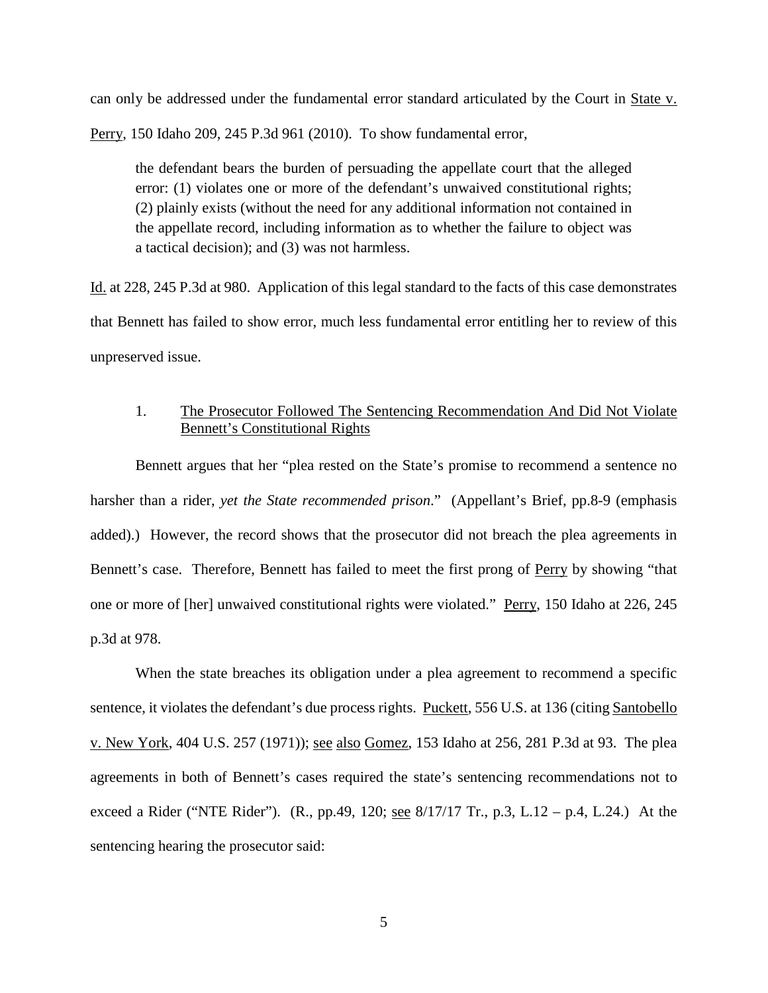can only be addressed under the fundamental error standard articulated by the Court in State v.

Perry, 150 Idaho 209, 245 P.3d 961 (2010). To show fundamental error,

the defendant bears the burden of persuading the appellate court that the alleged error: (1) violates one or more of the defendant's unwaived constitutional rights; (2) plainly exists (without the need for any additional information not contained in the appellate record, including information as to whether the failure to object was a tactical decision); and (3) was not harmless.

Id. at 228, 245 P.3d at 980. Application of this legal standard to the facts of this case demonstrates that Bennett has failed to show error, much less fundamental error entitling her to review of this unpreserved issue.

## 1. The Prosecutor Followed The Sentencing Recommendation And Did Not Violate Bennett's Constitutional Rights

Bennett argues that her "plea rested on the State's promise to recommend a sentence no harsher than a rider, *yet the State recommended prison*." (Appellant's Brief, pp.8-9 (emphasis added).) However, the record shows that the prosecutor did not breach the plea agreements in Bennett's case. Therefore, Bennett has failed to meet the first prong of Perry by showing "that one or more of [her] unwaived constitutional rights were violated." Perry, 150 Idaho at 226, 245 p.3d at 978.

When the state breaches its obligation under a plea agreement to recommend a specific sentence, it violates the defendant's due process rights. Puckett, 556 U.S. at 136 (citing Santobello v. New York, 404 U.S. 257 (1971)); <u>see also Gomez</u>, 153 Idaho at 256, 281 P.3d at 93. The plea agreements in both of Bennett's cases required the state's sentencing recommendations not to exceed a Rider ("NTE Rider").  $(R., pp.49, 120; see 8/17/17 Tr., p.3, L.12 - p.4, L.24.)$  At the sentencing hearing the prosecutor said: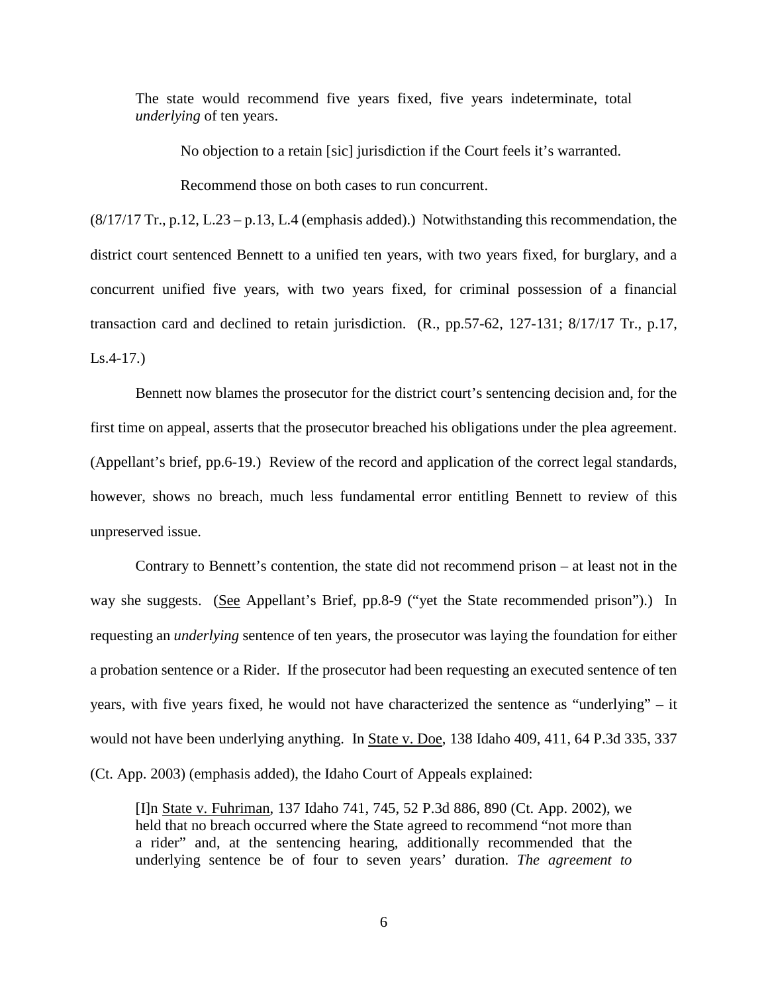The state would recommend five years fixed, five years indeterminate, total *underlying* of ten years.

No objection to a retain [sic] jurisdiction if the Court feels it's warranted.

Recommend those on both cases to run concurrent.

(8/17/17 Tr., p.12, L.23 – p.13, L.4 (emphasis added).) Notwithstanding this recommendation, the district court sentenced Bennett to a unified ten years, with two years fixed, for burglary, and a concurrent unified five years, with two years fixed, for criminal possession of a financial transaction card and declined to retain jurisdiction. (R., pp.57-62, 127-131; 8/17/17 Tr., p.17, Ls.4-17.)

Bennett now blames the prosecutor for the district court's sentencing decision and, for the first time on appeal, asserts that the prosecutor breached his obligations under the plea agreement. (Appellant's brief, pp.6-19.) Review of the record and application of the correct legal standards, however, shows no breach, much less fundamental error entitling Bennett to review of this unpreserved issue.

Contrary to Bennett's contention, the state did not recommend prison – at least not in the way she suggests. (See Appellant's Brief, pp.8-9 ("yet the State recommended prison").) In requesting an *underlying* sentence of ten years, the prosecutor was laying the foundation for either a probation sentence or a Rider. If the prosecutor had been requesting an executed sentence of ten years, with five years fixed, he would not have characterized the sentence as "underlying" – it would not have been underlying anything. In State v. Doe, 138 Idaho 409, 411, 64 P.3d 335, 337 (Ct. App. 2003) (emphasis added), the Idaho Court of Appeals explained:

[I]n State v. Fuhriman, 137 Idaho 741, 745, 52 P.3d 886, 890 (Ct. App. 2002), we held that no breach occurred where the State agreed to recommend "not more than a rider" and, at the sentencing hearing, additionally recommended that the underlying sentence be of four to seven years' duration. *The agreement to*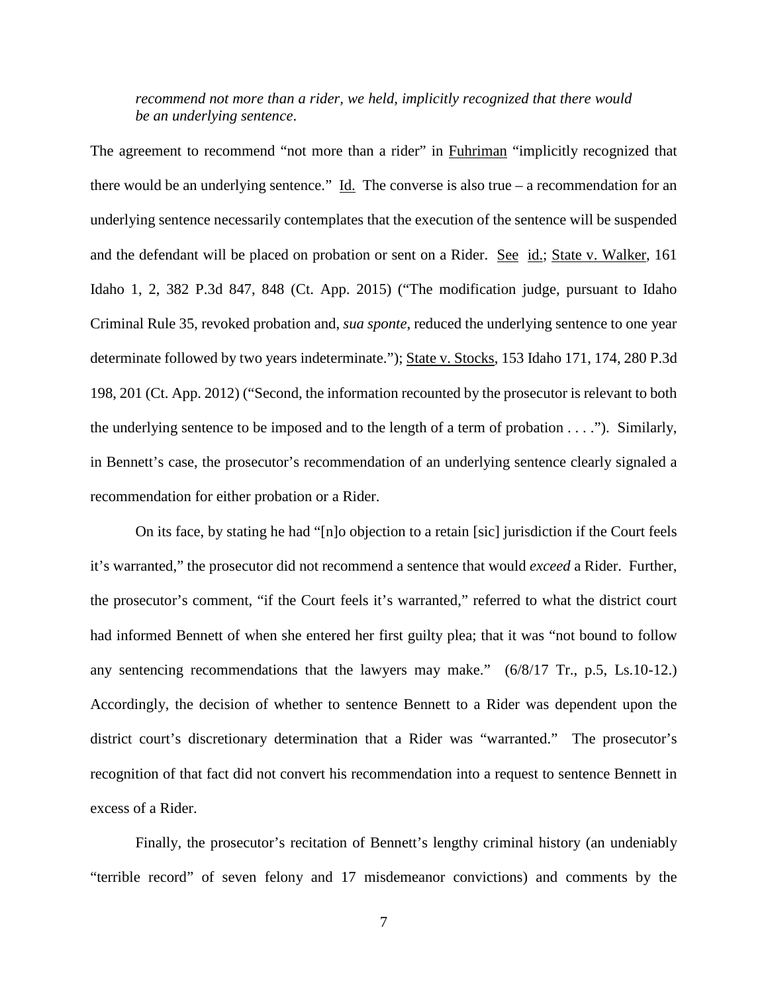## *recommend not more than a rider, we held, implicitly recognized that there would be an underlying sentence*.

The agreement to recommend "not more than a rider" in **Fuhriman** "implicitly recognized that there would be an underlying sentence."  $\underline{Id}$ . The converse is also true – a recommendation for an underlying sentence necessarily contemplates that the execution of the sentence will be suspended and the defendant will be placed on probation or sent on a Rider. See id.; State v. Walker, 161 Idaho 1, 2, 382 P.3d 847, 848 (Ct. App. 2015) ("The modification judge, pursuant to Idaho Criminal Rule 35, revoked probation and, *sua sponte*, reduced the underlying sentence to one year determinate followed by two years indeterminate."); State v. Stocks, 153 Idaho 171, 174, 280 P.3d 198, 201 (Ct. App. 2012) ("Second, the information recounted by the prosecutor is relevant to both the underlying sentence to be imposed and to the length of a term of probation . . . ."). Similarly, in Bennett's case, the prosecutor's recommendation of an underlying sentence clearly signaled a recommendation for either probation or a Rider.

On its face, by stating he had "[n]o objection to a retain [sic] jurisdiction if the Court feels it's warranted," the prosecutor did not recommend a sentence that would *exceed* a Rider. Further, the prosecutor's comment, "if the Court feels it's warranted," referred to what the district court had informed Bennett of when she entered her first guilty plea; that it was "not bound to follow any sentencing recommendations that the lawyers may make." (6/8/17 Tr., p.5, Ls.10-12.) Accordingly, the decision of whether to sentence Bennett to a Rider was dependent upon the district court's discretionary determination that a Rider was "warranted." The prosecutor's recognition of that fact did not convert his recommendation into a request to sentence Bennett in excess of a Rider.

Finally, the prosecutor's recitation of Bennett's lengthy criminal history (an undeniably "terrible record" of seven felony and 17 misdemeanor convictions) and comments by the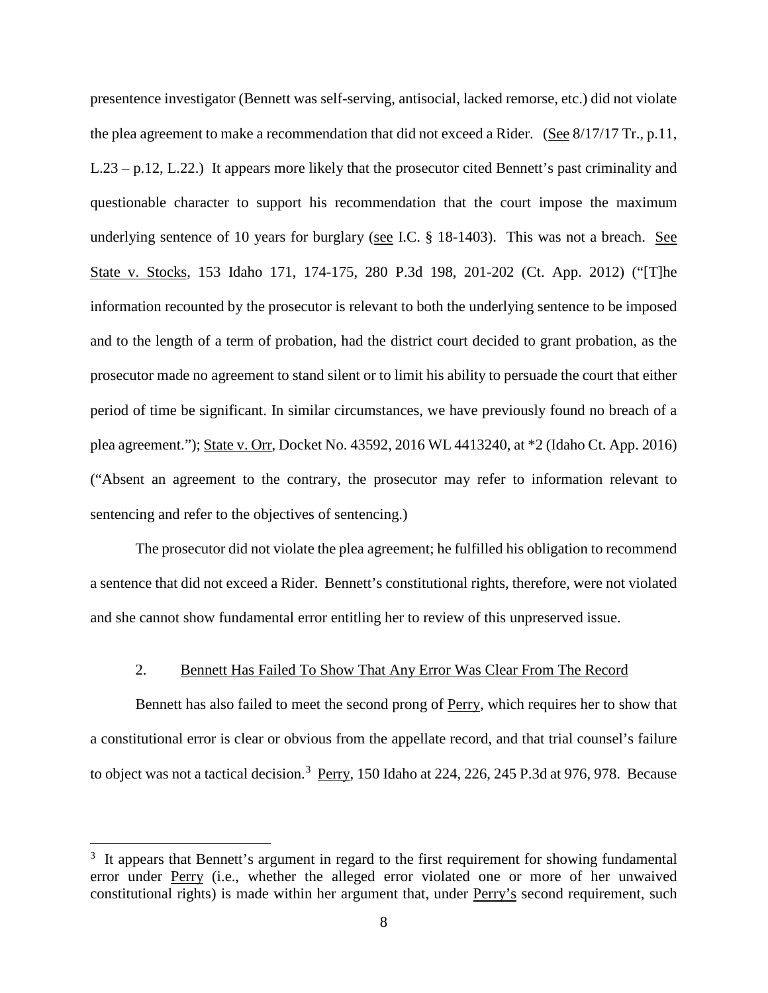presentence investigator (Bennett was self-serving, antisocial, lacked remorse, etc.) did not violate the plea agreement to make a recommendation that did not exceed a Rider. (See 8/17/17 Tr., p.11, L.23 – p.12, L.22.) It appears more likely that the prosecutor cited Bennett's past criminality and questionable character to support his recommendation that the court impose the maximum underlying sentence of 10 years for burglary (see I.C. § 18-1403). This was not a breach. See State v. Stocks, 153 Idaho 171, 174-175, 280 P.3d 198, 201-202 (Ct. App. 2012) ("[T]he information recounted by the prosecutor is relevant to both the underlying sentence to be imposed and to the length of a term of probation, had the district court decided to grant probation, as the prosecutor made no agreement to stand silent or to limit his ability to persuade the court that either period of time be significant. In similar circumstances, we have previously found no breach of a plea agreement."); State v. Orr, Docket No. 43592, 2016 WL 4413240, at \*2 (Idaho Ct. App. 2016) ("Absent an agreement to the contrary, the prosecutor may refer to information relevant to sentencing and refer to the objectives of sentencing.)

The prosecutor did not violate the plea agreement; he fulfilled his obligation to recommend a sentence that did not exceed a Rider. Bennett's constitutional rights, therefore, were not violated and she cannot show fundamental error entitling her to review of this unpreserved issue.

#### 2. Bennett Has Failed To Show That Any Error Was Clear From The Record

Bennett has also failed to meet the second prong of Perry, which requires her to show that a constitutional error is clear or obvious from the appellate record, and that trial counsel's failure to object was not a tactical decision.<sup>[3](#page--1-1)</sup> Perry, 150 Idaho at 224, 226, 245 P.3d at 976, 978. Because

 $\overline{a}$ 

<sup>&</sup>lt;sup>3</sup> It appears that Bennett's argument in regard to the first requirement for showing fundamental error under Perry (i.e., whether the alleged error violated one or more of her unwaived constitutional rights) is made within her argument that, under Perry's second requirement, such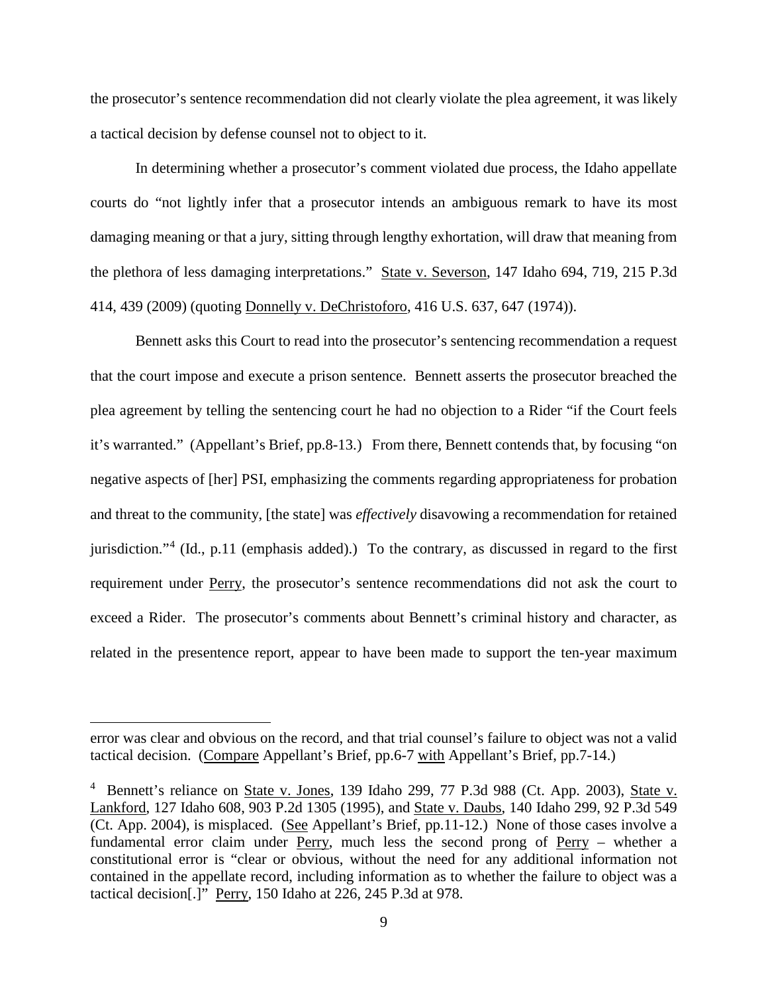the prosecutor's sentence recommendation did not clearly violate the plea agreement, it was likely a tactical decision by defense counsel not to object to it.

In determining whether a prosecutor's comment violated due process, the Idaho appellate courts do "not lightly infer that a prosecutor intends an ambiguous remark to have its most damaging meaning or that a jury, sitting through lengthy exhortation, will draw that meaning from the plethora of less damaging interpretations." State v. Severson, 147 Idaho 694, 719, 215 P.3d 414, 439 (2009) (quoting Donnelly v. DeChristoforo, 416 U.S. 637, 647 (1974)).

Bennett asks this Court to read into the prosecutor's sentencing recommendation a request that the court impose and execute a prison sentence. Bennett asserts the prosecutor breached the plea agreement by telling the sentencing court he had no objection to a Rider "if the Court feels it's warranted." (Appellant's Brief, pp.8-13.) From there, Bennett contends that, by focusing "on negative aspects of [her] PSI, emphasizing the comments regarding appropriateness for probation and threat to the community, [the state] was *effectively* disavowing a recommendation for retained jurisdiction."[4](#page--1-2) (Id., p.11 (emphasis added).) To the contrary, as discussed in regard to the first requirement under Perry, the prosecutor's sentence recommendations did not ask the court to exceed a Rider. The prosecutor's comments about Bennett's criminal history and character, as related in the presentence report, appear to have been made to support the ten-year maximum

 $\overline{a}$ 

error was clear and obvious on the record, and that trial counsel's failure to object was not a valid tactical decision. (Compare Appellant's Brief, pp.6-7 with Appellant's Brief, pp.7-14.)

<sup>&</sup>lt;sup>4</sup> Bennett's reliance on State v. Jones, 139 Idaho 299, 77 P.3d 988 (Ct. App. 2003), State v. Lankford, 127 Idaho 608, 903 P.2d 1305 (1995), and State v. Daubs, 140 Idaho 299, 92 P.3d 549  $\overline{({\rm Ct. App. 2004})}$ , is misplaced. (See Appellant's Brief, pp.11-12.) None of those cases involve a fundamental error claim under Perry, much less the second prong of Perry – whether a constitutional error is "clear or obvious, without the need for any additional information not contained in the appellate record, including information as to whether the failure to object was a tactical decision[.]" Perry, 150 Idaho at 226, 245 P.3d at 978.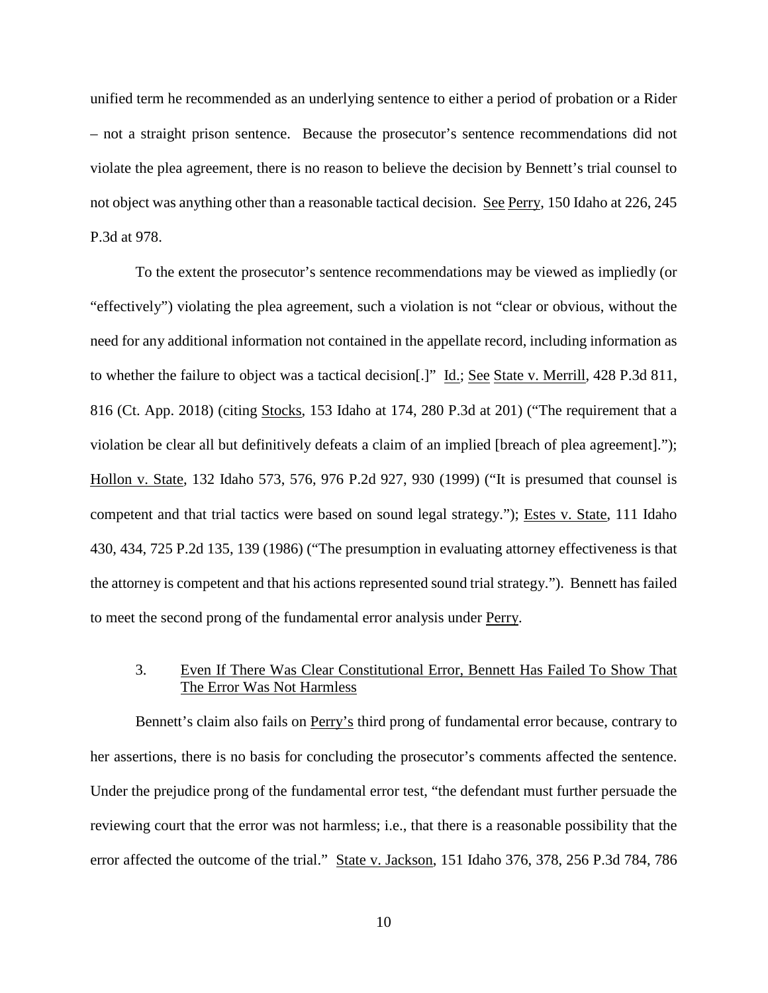unified term he recommended as an underlying sentence to either a period of probation or a Rider – not a straight prison sentence. Because the prosecutor's sentence recommendations did not violate the plea agreement, there is no reason to believe the decision by Bennett's trial counsel to not object was anything other than a reasonable tactical decision. See Perry, 150 Idaho at 226, 245 P.3d at 978.

To the extent the prosecutor's sentence recommendations may be viewed as impliedly (or "effectively") violating the plea agreement, such a violation is not "clear or obvious, without the need for any additional information not contained in the appellate record, including information as to whether the failure to object was a tactical decision[.]" Id.; See State v. Merrill, 428 P.3d 811, 816 (Ct. App. 2018) (citing Stocks, 153 Idaho at 174, 280 P.3d at 201) ("The requirement that a violation be clear all but definitively defeats a claim of an implied [breach of plea agreement]."); Hollon v. State, 132 Idaho 573, 576, 976 P.2d 927, 930 (1999) ("It is presumed that counsel is competent and that trial tactics were based on sound legal strategy."); Estes v. State, 111 Idaho 430, 434, 725 P.2d 135, 139 (1986) ("The presumption in evaluating attorney effectiveness is that the attorney is competent and that his actions represented sound trial strategy."). Bennett has failed to meet the second prong of the fundamental error analysis under Perry.

## 3. Even If There Was Clear Constitutional Error, Bennett Has Failed To Show That The Error Was Not Harmless

Bennett's claim also fails on **Perry's** third prong of fundamental error because, contrary to her assertions, there is no basis for concluding the prosecutor's comments affected the sentence. Under the prejudice prong of the fundamental error test, "the defendant must further persuade the reviewing court that the error was not harmless; i.e., that there is a reasonable possibility that the error affected the outcome of the trial." State v. Jackson, 151 Idaho 376, 378, 256 P.3d 784, 786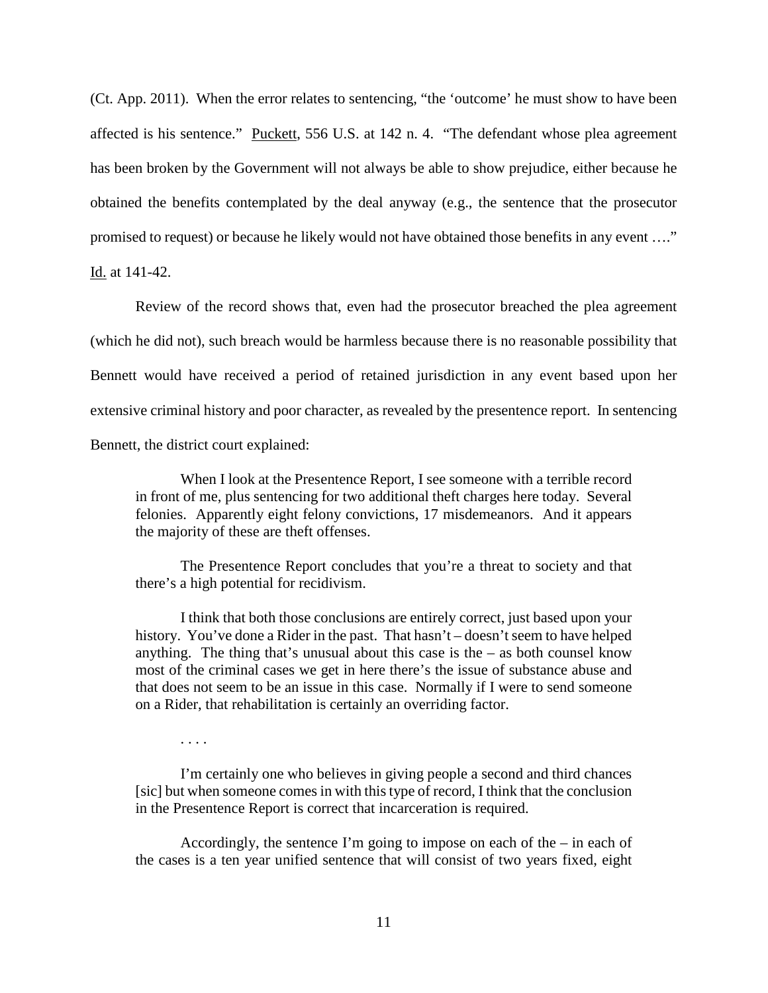(Ct. App. 2011). When the error relates to sentencing, "the 'outcome' he must show to have been affected is his sentence." Puckett, 556 U.S. at 142 n. 4. "The defendant whose plea agreement has been broken by the Government will not always be able to show prejudice, either because he obtained the benefits contemplated by the deal anyway (e.g., the sentence that the prosecutor promised to request) or because he likely would not have obtained those benefits in any event …." Id. at 141-42.

Review of the record shows that, even had the prosecutor breached the plea agreement (which he did not), such breach would be harmless because there is no reasonable possibility that Bennett would have received a period of retained jurisdiction in any event based upon her extensive criminal history and poor character, as revealed by the presentence report. In sentencing Bennett, the district court explained:

When I look at the Presentence Report, I see someone with a terrible record in front of me, plus sentencing for two additional theft charges here today. Several felonies. Apparently eight felony convictions, 17 misdemeanors. And it appears the majority of these are theft offenses.

The Presentence Report concludes that you're a threat to society and that there's a high potential for recidivism.

I think that both those conclusions are entirely correct, just based upon your history. You've done a Rider in the past. That hasn't – doesn't seem to have helped anything. The thing that's unusual about this case is the  $-$  as both counsel know most of the criminal cases we get in here there's the issue of substance abuse and that does not seem to be an issue in this case. Normally if I were to send someone on a Rider, that rehabilitation is certainly an overriding factor.

. . . .

 I'm certainly one who believes in giving people a second and third chances [sic] but when someone comes in with this type of record, I think that the conclusion in the Presentence Report is correct that incarceration is required.

Accordingly, the sentence I'm going to impose on each of the – in each of the cases is a ten year unified sentence that will consist of two years fixed, eight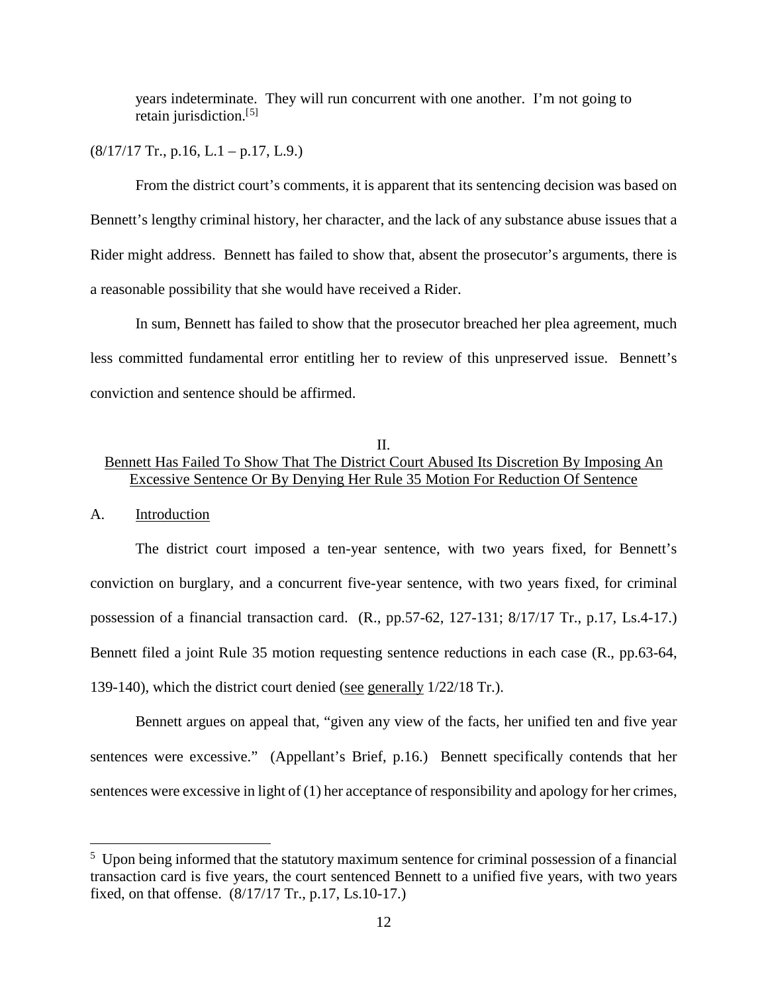years indeterminate. They will run concurrent with one another. I'm not going to retain jurisdiction.<sup>[[5](#page--1-1)]</sup>

 $(8/17/17$  Tr., p.16, L.1 – p.17, L.9.)

From the district court's comments, it is apparent that its sentencing decision was based on Bennett's lengthy criminal history, her character, and the lack of any substance abuse issues that a Rider might address. Bennett has failed to show that, absent the prosecutor's arguments, there is a reasonable possibility that she would have received a Rider.

In sum, Bennett has failed to show that the prosecutor breached her plea agreement, much less committed fundamental error entitling her to review of this unpreserved issue. Bennett's conviction and sentence should be affirmed.

## II. Bennett Has Failed To Show That The District Court Abused Its Discretion By Imposing An Excessive Sentence Or By Denying Her Rule 35 Motion For Reduction Of Sentence

#### A. Introduction

 $\overline{a}$ 

The district court imposed a ten-year sentence, with two years fixed, for Bennett's conviction on burglary, and a concurrent five-year sentence, with two years fixed, for criminal possession of a financial transaction card. (R., pp.57-62, 127-131; 8/17/17 Tr., p.17, Ls.4-17.) Bennett filed a joint Rule 35 motion requesting sentence reductions in each case (R., pp.63-64, 139-140), which the district court denied (see generally 1/22/18 Tr.).

Bennett argues on appeal that, "given any view of the facts, her unified ten and five year sentences were excessive." (Appellant's Brief, p.16.) Bennett specifically contends that her sentences were excessive in light of (1) her acceptance of responsibility and apology for her crimes,

<sup>&</sup>lt;sup>5</sup> Upon being informed that the statutory maximum sentence for criminal possession of a financial transaction card is five years, the court sentenced Bennett to a unified five years, with two years fixed, on that offense. (8/17/17 Tr., p.17, Ls.10-17.)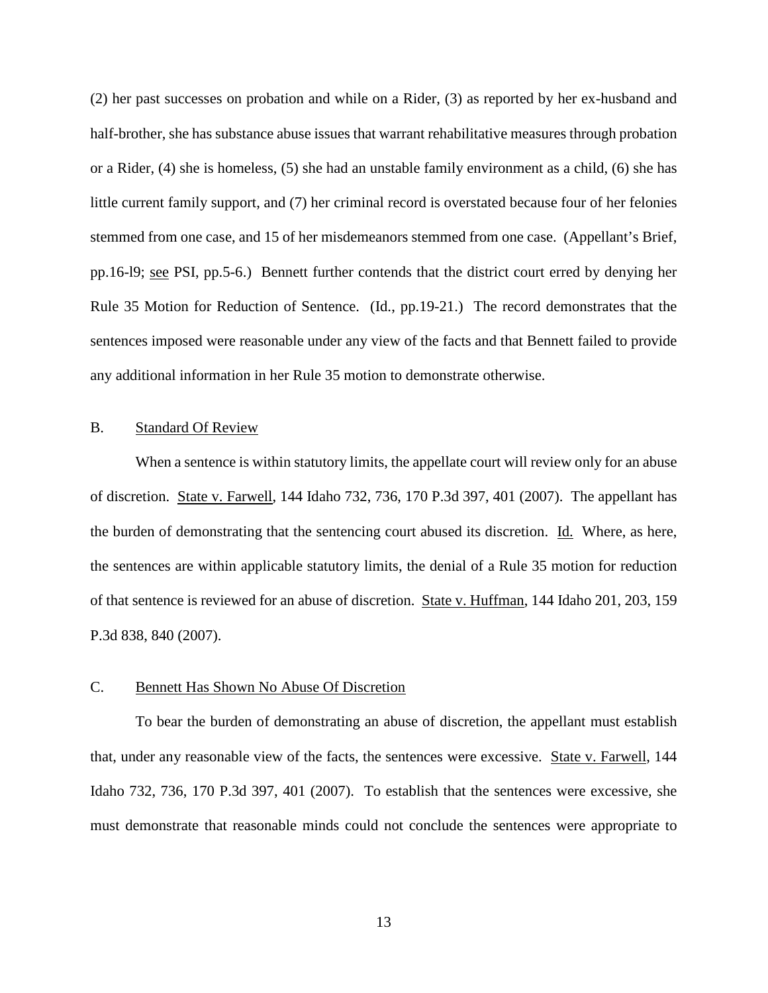(2) her past successes on probation and while on a Rider, (3) as reported by her ex-husband and half-brother, she has substance abuse issues that warrant rehabilitative measures through probation or a Rider, (4) she is homeless, (5) she had an unstable family environment as a child, (6) she has little current family support, and (7) her criminal record is overstated because four of her felonies stemmed from one case, and 15 of her misdemeanors stemmed from one case. (Appellant's Brief, pp.16-l9; see PSI, pp.5-6.) Bennett further contends that the district court erred by denying her Rule 35 Motion for Reduction of Sentence. (Id., pp.19-21.) The record demonstrates that the sentences imposed were reasonable under any view of the facts and that Bennett failed to provide any additional information in her Rule 35 motion to demonstrate otherwise.

#### B. Standard Of Review

When a sentence is within statutory limits, the appellate court will review only for an abuse of discretion. State v. Farwell, 144 Idaho 732, 736, 170 P.3d 397, 401 (2007). The appellant has the burden of demonstrating that the sentencing court abused its discretion. Id. Where, as here, the sentences are within applicable statutory limits, the denial of a Rule 35 motion for reduction of that sentence is reviewed for an abuse of discretion. State v. Huffman, 144 Idaho 201, 203, 159 P.3d 838, 840 (2007).

#### C. Bennett Has Shown No Abuse Of Discretion

To bear the burden of demonstrating an abuse of discretion, the appellant must establish that, under any reasonable view of the facts, the sentences were excessive. State v. Farwell, 144 Idaho 732, 736, 170 P.3d 397, 401 (2007). To establish that the sentences were excessive, she must demonstrate that reasonable minds could not conclude the sentences were appropriate to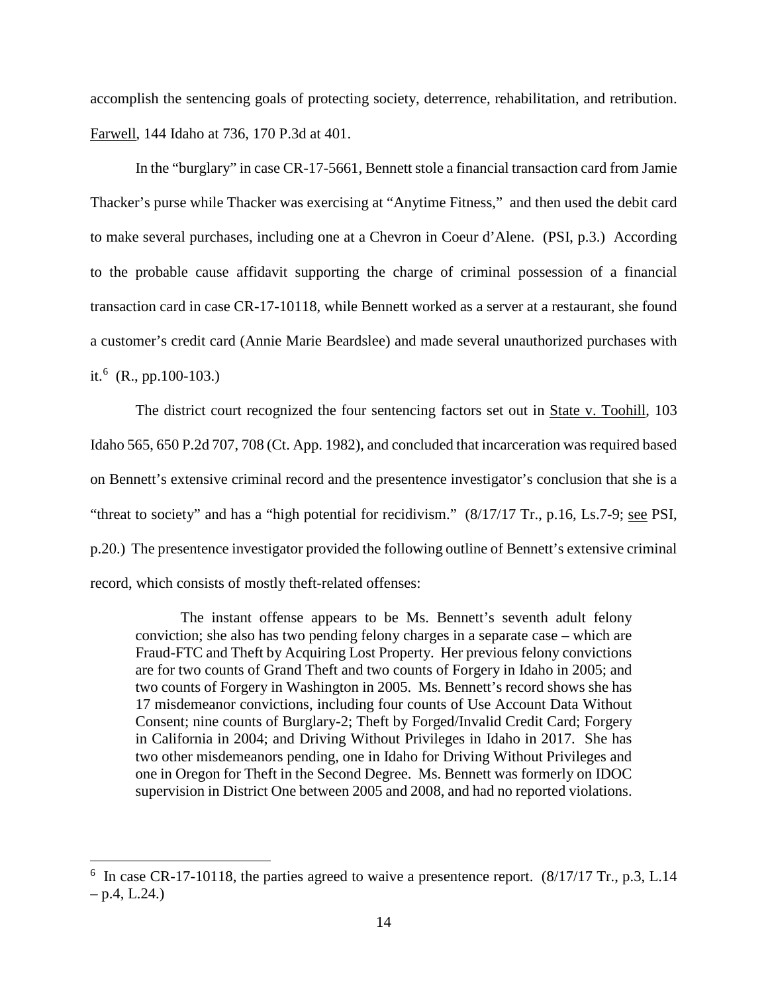accomplish the sentencing goals of protecting society, deterrence, rehabilitation, and retribution. Farwell, 144 Idaho at 736, 170 P.3d at 401.

In the "burglary" in case CR-17-5661, Bennett stole a financial transaction card from Jamie Thacker's purse while Thacker was exercising at "Anytime Fitness," and then used the debit card to make several purchases, including one at a Chevron in Coeur d'Alene. (PSI, p.3.) According to the probable cause affidavit supporting the charge of criminal possession of a financial transaction card in case CR-17-10118, while Bennett worked as a server at a restaurant, she found a customer's credit card (Annie Marie Beardslee) and made several unauthorized purchases with it.<sup>[6](#page--1-0)</sup> (R., pp.100-103.)

The district court recognized the four sentencing factors set out in State v. Toohill, 103 Idaho 565, 650 P.2d 707, 708 (Ct. App. 1982), and concluded that incarceration was required based on Bennett's extensive criminal record and the presentence investigator's conclusion that she is a "threat to society" and has a "high potential for recidivism." (8/17/17 Tr., p.16, Ls.7-9; see PSI, p.20.) The presentence investigator provided the following outline of Bennett's extensive criminal record, which consists of mostly theft-related offenses:

The instant offense appears to be Ms. Bennett's seventh adult felony conviction; she also has two pending felony charges in a separate case – which are Fraud-FTC and Theft by Acquiring Lost Property. Her previous felony convictions are for two counts of Grand Theft and two counts of Forgery in Idaho in 2005; and two counts of Forgery in Washington in 2005. Ms. Bennett's record shows she has 17 misdemeanor convictions, including four counts of Use Account Data Without Consent; nine counts of Burglary-2; Theft by Forged/Invalid Credit Card; Forgery in California in 2004; and Driving Without Privileges in Idaho in 2017. She has two other misdemeanors pending, one in Idaho for Driving Without Privileges and one in Oregon for Theft in the Second Degree. Ms. Bennett was formerly on IDOC supervision in District One between 2005 and 2008, and had no reported violations.

 $\overline{a}$ 

<sup>&</sup>lt;sup>6</sup> In case CR-17-10118, the parties agreed to waive a presentence report. (8/17/17 Tr., p.3, L.14  $-$  p.4, L.24.)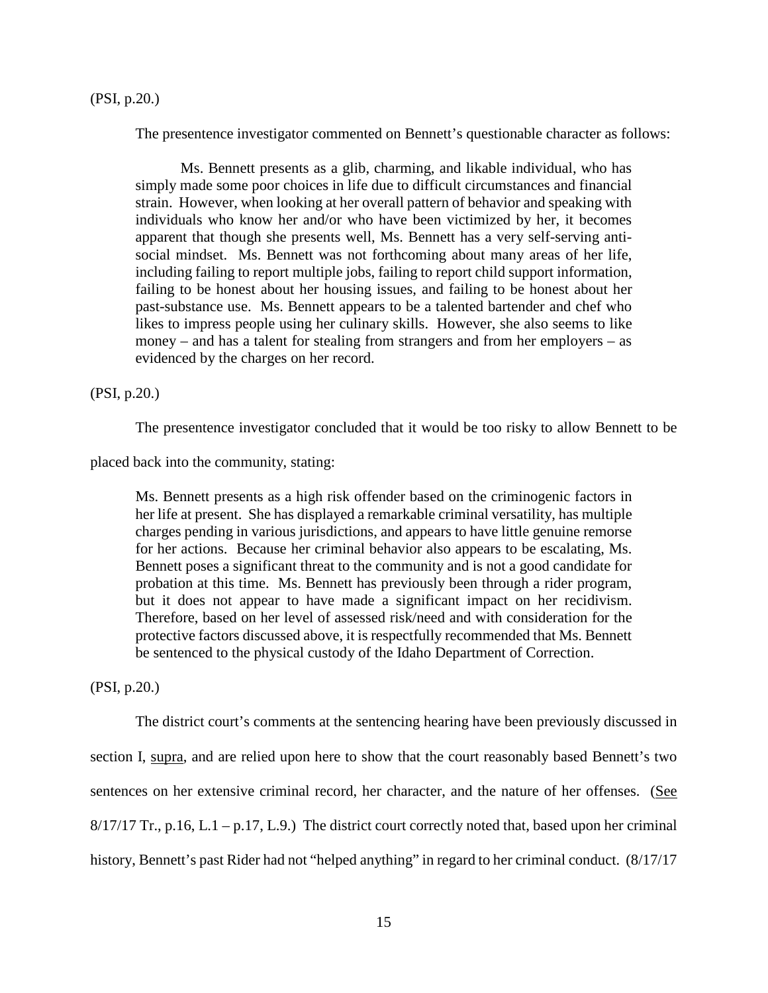The presentence investigator commented on Bennett's questionable character as follows:

Ms. Bennett presents as a glib, charming, and likable individual, who has simply made some poor choices in life due to difficult circumstances and financial strain. However, when looking at her overall pattern of behavior and speaking with individuals who know her and/or who have been victimized by her, it becomes apparent that though she presents well, Ms. Bennett has a very self-serving antisocial mindset. Ms. Bennett was not forthcoming about many areas of her life, including failing to report multiple jobs, failing to report child support information, failing to be honest about her housing issues, and failing to be honest about her past-substance use. Ms. Bennett appears to be a talented bartender and chef who likes to impress people using her culinary skills. However, she also seems to like money – and has a talent for stealing from strangers and from her employers – as evidenced by the charges on her record.

(PSI, p.20.)

The presentence investigator concluded that it would be too risky to allow Bennett to be

placed back into the community, stating:

Ms. Bennett presents as a high risk offender based on the criminogenic factors in her life at present. She has displayed a remarkable criminal versatility, has multiple charges pending in various jurisdictions, and appears to have little genuine remorse for her actions. Because her criminal behavior also appears to be escalating, Ms. Bennett poses a significant threat to the community and is not a good candidate for probation at this time. Ms. Bennett has previously been through a rider program, but it does not appear to have made a significant impact on her recidivism. Therefore, based on her level of assessed risk/need and with consideration for the protective factors discussed above, it is respectfully recommended that Ms. Bennett be sentenced to the physical custody of the Idaho Department of Correction.

(PSI, p.20.)

The district court's comments at the sentencing hearing have been previously discussed in section I, supra, and are relied upon here to show that the court reasonably based Bennett's two sentences on her extensive criminal record, her character, and the nature of her offenses. (See  $8/17/17$  Tr., p.16, L.1 – p.17, L.9.) The district court correctly noted that, based upon her criminal history, Bennett's past Rider had not "helped anything" in regard to her criminal conduct. (8/17/17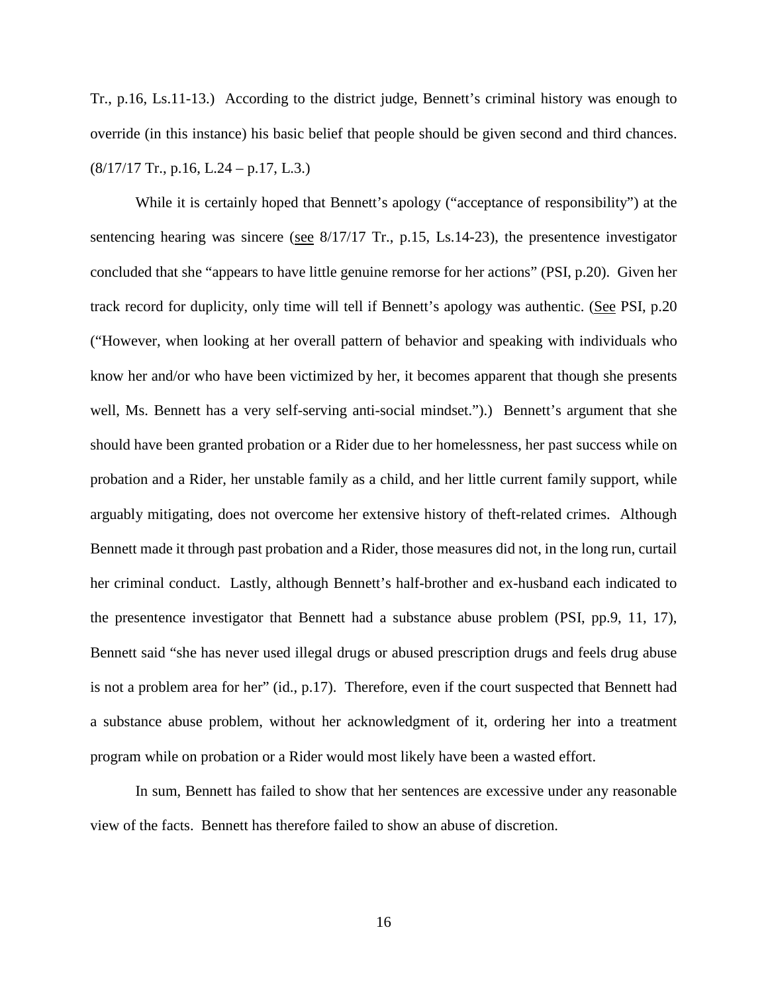Tr., p.16, Ls.11-13.) According to the district judge, Bennett's criminal history was enough to override (in this instance) his basic belief that people should be given second and third chances.  $(8/17/17$  Tr., p.16, L.24 – p.17, L.3.)

While it is certainly hoped that Bennett's apology ("acceptance of responsibility") at the sentencing hearing was sincere (see 8/17/17 Tr., p.15, Ls.14-23), the presentence investigator concluded that she "appears to have little genuine remorse for her actions" (PSI, p.20). Given her track record for duplicity, only time will tell if Bennett's apology was authentic. (See PSI, p.20 ("However, when looking at her overall pattern of behavior and speaking with individuals who know her and/or who have been victimized by her, it becomes apparent that though she presents well, Ms. Bennett has a very self-serving anti-social mindset.").) Bennett's argument that she should have been granted probation or a Rider due to her homelessness, her past success while on probation and a Rider, her unstable family as a child, and her little current family support, while arguably mitigating, does not overcome her extensive history of theft-related crimes. Although Bennett made it through past probation and a Rider, those measures did not, in the long run, curtail her criminal conduct. Lastly, although Bennett's half-brother and ex-husband each indicated to the presentence investigator that Bennett had a substance abuse problem (PSI, pp.9, 11, 17), Bennett said "she has never used illegal drugs or abused prescription drugs and feels drug abuse is not a problem area for her" (id., p.17). Therefore, even if the court suspected that Bennett had a substance abuse problem, without her acknowledgment of it, ordering her into a treatment program while on probation or a Rider would most likely have been a wasted effort.

In sum, Bennett has failed to show that her sentences are excessive under any reasonable view of the facts. Bennett has therefore failed to show an abuse of discretion.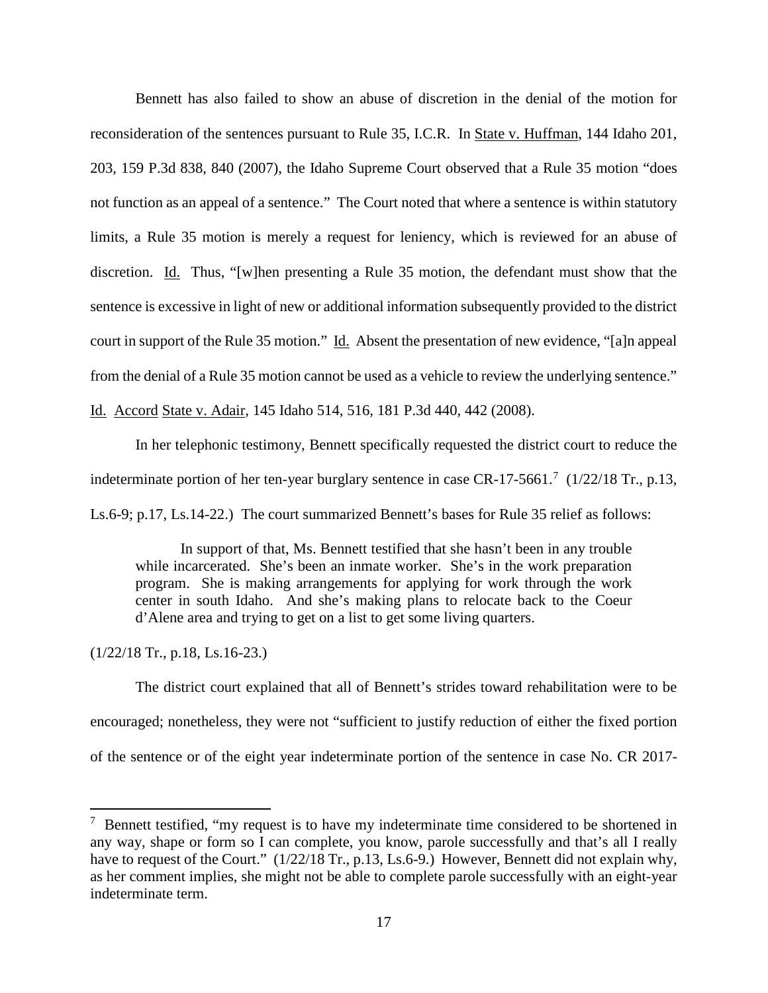Bennett has also failed to show an abuse of discretion in the denial of the motion for reconsideration of the sentences pursuant to Rule 35, I.C.R. In State v. Huffman, 144 Idaho 201, 203, 159 P.3d 838, 840 (2007), the Idaho Supreme Court observed that a Rule 35 motion "does not function as an appeal of a sentence." The Court noted that where a sentence is within statutory limits, a Rule 35 motion is merely a request for leniency, which is reviewed for an abuse of discretion. Id. Thus, "[w]hen presenting a Rule 35 motion, the defendant must show that the sentence is excessive in light of new or additional information subsequently provided to the district court in support of the Rule 35 motion." Id. Absent the presentation of new evidence, "[a]n appeal from the denial of a Rule 35 motion cannot be used as a vehicle to review the underlying sentence."

Id. Accord State v. Adair, 145 Idaho 514, 516, 181 P.3d 440, 442 (2008).

In her telephonic testimony, Bennett specifically requested the district court to reduce the

indeterminate portion of her ten-year burglary sentence in case  $CR-17-5661$  $CR-17-5661$  $CR-17-5661$ .<sup>7</sup> (1/22/18 Tr., p.13,

Ls.6-9; p.17, Ls.14-22.) The court summarized Bennett's bases for Rule 35 relief as follows:

In support of that, Ms. Bennett testified that she hasn't been in any trouble while incarcerated. She's been an inmate worker. She's in the work preparation program. She is making arrangements for applying for work through the work center in south Idaho. And she's making plans to relocate back to the Coeur d'Alene area and trying to get on a list to get some living quarters.

(1/22/18 Tr., p.18, Ls.16-23.)

 $\overline{a}$ 

The district court explained that all of Bennett's strides toward rehabilitation were to be encouraged; nonetheless, they were not "sufficient to justify reduction of either the fixed portion of the sentence or of the eight year indeterminate portion of the sentence in case No. CR 2017-

 $7$  Bennett testified, "my request is to have my indeterminate time considered to be shortened in any way, shape or form so I can complete, you know, parole successfully and that's all I really have to request of the Court." (1/22/18 Tr., p.13, Ls.6-9.) However, Bennett did not explain why, as her comment implies, she might not be able to complete parole successfully with an eight-year indeterminate term.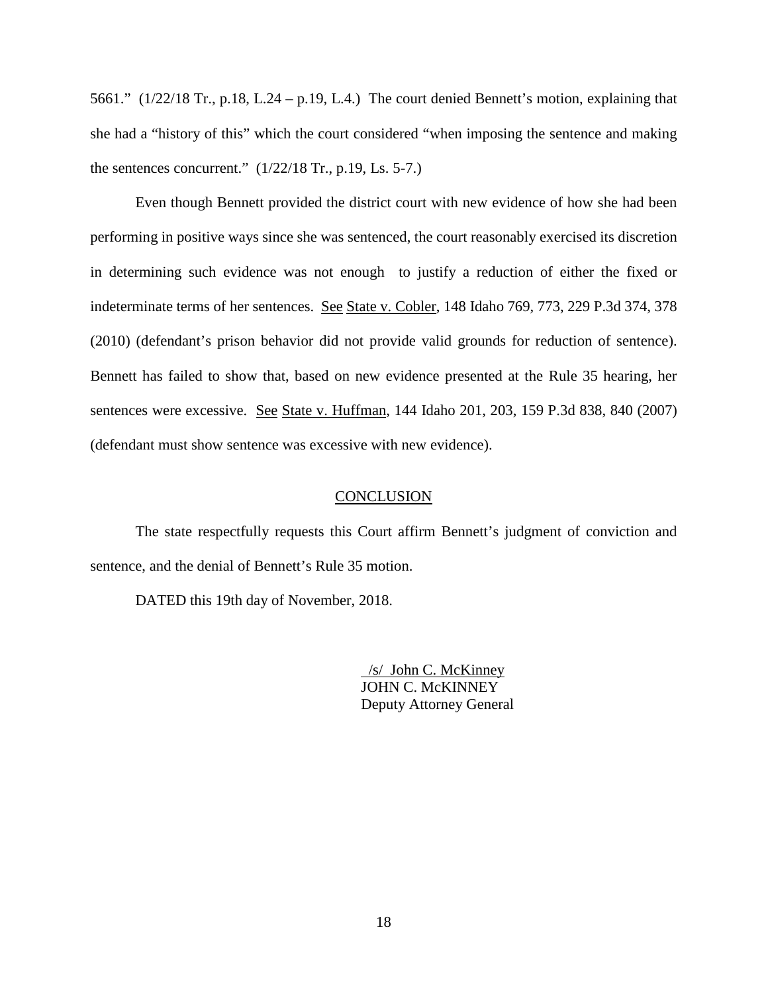5661." (1/22/18 Tr., p.18, L.24 – p.19, L.4.) The court denied Bennett's motion, explaining that she had a "history of this" which the court considered "when imposing the sentence and making the sentences concurrent."  $(1/22/18$  Tr., p.19, Ls. 5-7.)

Even though Bennett provided the district court with new evidence of how she had been performing in positive ways since she was sentenced, the court reasonably exercised its discretion in determining such evidence was not enough to justify a reduction of either the fixed or indeterminate terms of her sentences. See State v. Cobler, 148 Idaho 769, 773, 229 P.3d 374, 378 (2010) (defendant's prison behavior did not provide valid grounds for reduction of sentence). Bennett has failed to show that, based on new evidence presented at the Rule 35 hearing, her sentences were excessive. See State v. Huffman, 144 Idaho 201, 203, 159 P.3d 838, 840 (2007) (defendant must show sentence was excessive with new evidence).

#### **CONCLUSION**

The state respectfully requests this Court affirm Bennett's judgment of conviction and sentence, and the denial of Bennett's Rule 35 motion.

DATED this 19th day of November, 2018.

 /s/ John C. McKinney JOHN C. McKINNEY Deputy Attorney General